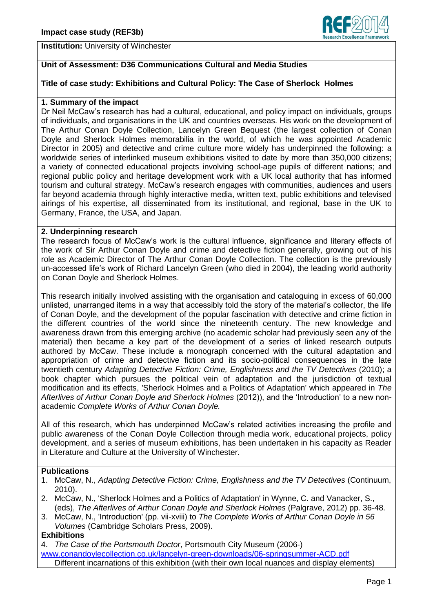

## **Unit of Assessment: D36 Communications Cultural and Media Studies**

## **Title of case study: Exhibitions and Cultural Policy: The Case of Sherlock Holmes**

### **1. Summary of the impact**

Dr Neil McCaw's research has had a cultural, educational, and policy impact on individuals, groups of individuals, and organisations in the UK and countries overseas. His work on the development of The Arthur Conan Doyle Collection, Lancelyn Green Bequest (the largest collection of Conan Doyle and Sherlock Holmes memorabilia in the world, of which he was appointed Academic Director in 2005) and detective and crime culture more widely has underpinned the following: a worldwide series of interlinked museum exhibitions visited to date by more than 350,000 citizens; a variety of connected educational projects involving school-age pupils of different nations; and regional public policy and heritage development work with a UK local authority that has informed tourism and cultural strategy. McCaw's research engages with communities, audiences and users far beyond academia through highly interactive media, written text, public exhibitions and televised airings of his expertise, all disseminated from its institutional, and regional, base in the UK to Germany, France, the USA, and Japan.

#### **2. Underpinning research**

The research focus of McCaw's work is the cultural influence, significance and literary effects of the work of Sir Arthur Conan Doyle and crime and detective fiction generally, growing out of his role as Academic Director of The Arthur Conan Doyle Collection. The collection is the previously un-accessed life's work of Richard Lancelyn Green (who died in 2004), the leading world authority on Conan Doyle and Sherlock Holmes.

This research initially involved assisting with the organisation and cataloguing in excess of 60,000 unlisted, unarranged items in a way that accessibly told the story of the material's collector, the life of Conan Doyle, and the development of the popular fascination with detective and crime fiction in the different countries of the world since the nineteenth century. The new knowledge and awareness drawn from this emerging archive (no academic scholar had previously seen any of the material) then became a key part of the development of a series of linked research outputs authored by McCaw. These include a monograph concerned with the cultural adaptation and appropriation of crime and detective fiction and its socio-political consequences in the late twentieth century *Adapting Detective Fiction: Crime, Englishness and the TV Detectives* (2010); a book chapter which pursues the political vein of adaptation and the jurisdiction of textual modification and its effects, 'Sherlock Holmes and a Politics of Adaptation' which appeared in *The Afterlives of Arthur Conan Doyle and Sherlock Holmes* (2012)), and the 'Introduction' to a new nonacademic *Complete Works of Arthur Conan Doyle.*

All of this research, which has underpinned McCaw's related activities increasing the profile and public awareness of the Conan Doyle Collection through media work, educational projects, policy development, and a series of museum exhibitions, has been undertaken in his capacity as Reader in Literature and Culture at the University of Winchester.

#### **Publications**

- 1. McCaw, N., *Adapting Detective Fiction: Crime, Englishness and the TV Detectives* (Continuum, 2010).
- 2. McCaw, N., 'Sherlock Holmes and a Politics of Adaptation' in Wynne, C. and Vanacker, S., (eds), *The Afterlives of Arthur Conan Doyle and Sherlock Holmes* (Palgrave, 2012) pp. 36-48.
- 3. McCaw, N., 'Introduction' (pp. vii-xviii) to *The Complete Works of Arthur Conan Doyle in 56 Volumes* (Cambridge Scholars Press, 2009).

#### **Exhibitions**

4. *The Case of the Portsmouth Doctor*, Portsmouth City Museum (2006-) [www.conandoylecollection.co.uk/lancelyn-green-downloads/06-springsummer-ACD.pdf](http://www.conandoylecollection.co.uk/lancelyn-green-downloads/06-springsummer-ACD.pdf) Different incarnations of this exhibition (with their own local nuances and display elements)

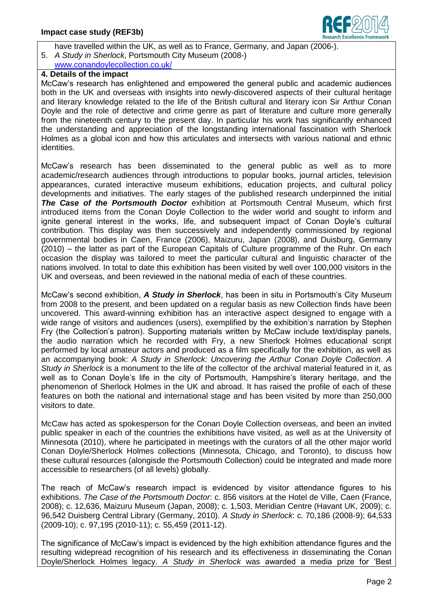

have travelled within the UK, as well as to France, Germany, and Japan (2006-).

5. *A Study in Sherlock*, Portsmouth City Museum (2008-) [www.conandoylecollection.co.uk/](http://www.conandoylecollection.co.uk/)

# **4. Details of the impact**

McCaw's research has enlightened and empowered the general public and academic audiences both in the UK and overseas with insights into newly-discovered aspects of their cultural heritage and literary knowledge related to the life of the British cultural and literary icon Sir Arthur Conan Doyle and the role of detective and crime genre as part of literature and culture more generally from the nineteenth century to the present day. In particular his work has significantly enhanced the understanding and appreciation of the longstanding international fascination with Sherlock Holmes as a global icon and how this articulates and intersects with various national and ethnic identities.

McCaw's research has been disseminated to the general public as well as to more academic/research audiences through introductions to popular books, journal articles, television appearances, curated interactive museum exhibitions, education projects, and cultural policy developments and initiatives. The early stages of the published research underpinned the initial *The Case of the Portsmouth Doctor* exhibition at Portsmouth Central Museum, which first introduced items from the Conan Doyle Collection to the wider world and sought to inform and ignite general interest in the works, life, and subsequent impact of Conan Doyle's cultural contribution. This display was then successively and independently commissioned by regional governmental bodies in Caen, France (2006), Maizuru, Japan (2008), and Duisburg, Germany (2010) – the latter as part of the European Capitals of Culture programme of the Ruhr. On each occasion the display was tailored to meet the particular cultural and linguistic character of the nations involved. In total to date this exhibition has been visited by well over 100,000 visitors in the UK and overseas, and been reviewed in the national media of each of these countries.

McCaw's second exhibition, *A Study in Sherlock*, has been in situ in Portsmouth's City Museum from 2008 to the present, and been updated on a regular basis as new Collection finds have been uncovered. This award-winning exhibition has an interactive aspect designed to engage with a wide range of visitors and audiences (users), exemplified by the exhibition's narration by Stephen Fry (the Collection's patron). Supporting materials written by McCaw include text/display panels, the audio narration which he recorded with Fry, a new Sherlock Holmes educational script performed by local amateur actors and produced as a film specifically for the exhibition, as well as an accompanying book: *A Study in Sherlock: Uncovering the Arthur Conan Doyle Collection. A Study in Sherlock* is a monument to the life of the collector of the archival material featured in it, as well as to Conan Doyle's life in the city of Portsmouth, Hampshire's literary heritage, and the phenomenon of Sherlock Holmes in the UK and abroad. It has raised the profile of each of these features on both the national and international stage and has been visited by more than 250,000 visitors to date.

McCaw has acted as spokesperson for the Conan Doyle Collection overseas, and been an invited public speaker in each of the countries the exhibitions have visited, as well as at the University of Minnesota (2010), where he participated in meetings with the curators of all the other major world Conan Doyle/Sherlock Holmes collections (Minnesota, Chicago, and Toronto), to discuss how these cultural resources (alongisde the Portsmouth Collection) could be integrated and made more accessible to researchers (of all levels) globally.

The reach of McCaw's research impact is evidenced by visitor attendance figures to his exhibitions. *The Case of the Portsmouth Doctor*: c. 856 visitors at the Hotel de Ville, Caen (France, 2008); c. 12,636, Maizuru Museum (Japan, 2008); c. 1,503, Meridian Centre (Havant UK, 2009); c. 96,542 Duisberg Central Library (Germany, 2010). *A Study in Sherlock*: c. 70,186 (2008-9); 64,533 (2009-10); c. 97,195 (2010-11); c. 55,459 (2011-12).

The significance of McCaw's impact is evidenced by the high exhibition attendance figures and the resulting widepread recognition of his research and its effectiveness in disseminating the Conan Doyle/Sherlock Holmes legacy. *A Study in Sherlock* was awarded a media prize for 'Best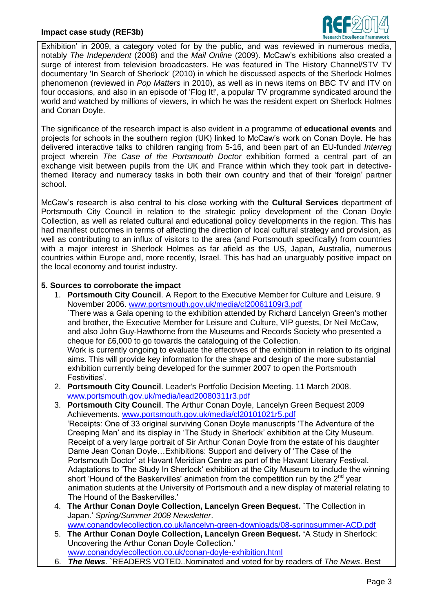## **Impact case study (REF3b)**



Exhibition' in 2009, a category voted for by the public, and was reviewed in numerous media, notably *The Independent* (2008) and the *Mail Online* (2009). McCaw's exhibitions also created a surge of interest from television broadcasters. He was featured in The History Channel/STV TV documentary 'In Search of Sherlock' (2010) in which he discussed aspects of the Sherlock Holmes phenomenon (reviewed in *Pop Matters* in 2010), as well as in news items on BBC TV and ITV on four occasions, and also in an episode of 'Flog It!', a popular TV programme syndicated around the world and watched by millions of viewers, in which he was the resident expert on Sherlock Holmes and Conan Doyle.

The significance of the research impact is also evident in a programme of **educational events** and projects for schools in the southern region (UK) linked to McCaw's work on Conan Doyle. He has delivered interactive talks to children ranging from 5-16, and been part of an EU-funded *Interreg* project wherein *The Case of the Portsmouth Doctor* exhibition formed a central part of an exchange visit between pupils from the UK and France within which they took part in detectivethemed literacy and numeracy tasks in both their own country and that of their 'foreign' partner school.

McCaw's research is also central to his close working with the **Cultural Services** department of Portsmouth City Council in relation to the strategic policy development of the Conan Doyle Collection, as well as related cultural and educational policy developments in the region. This has had manifest outcomes in terms of affecting the direction of local cultural strategy and provision, as well as contributing to an influx of visitors to the area (and Portsmouth specifically) from countries with a major interest in Sherlock Holmes as far afield as the US, Japan, Australia, numerous countries within Europe and, more recently, Israel. This has had an unarguably positive impact on the local economy and tourist industry.

## **5. Sources to corroborate the impact**

1. **Portsmouth City Council**. A Report to the Executive Member for Culture and Leisure. 9 November 2006. [www.portsmouth.gov.uk/media/cl20061109r3.pdf](http://www.portsmouth.gov.uk/media/cl20061109r3.pdf)

`There was a Gala opening to the exhibition attended by Richard Lancelyn Green's mother and brother, the Executive Member for Leisure and Culture, VIP guests, Dr Neil McCaw, and also John Guy-Hawthorne from the Museums and Records Society who presented a cheque for £6,000 to go towards the cataloguing of the Collection. Work is currently ongoing to evaluate the effectives of the exhibition in relation to its original

aims. This will provide key information for the shape and design of the more substantial exhibition currently being developed for the summer 2007 to open the Portsmouth Festivities'.

- 2. **Portsmouth City Council**. Leader's Portfolio Decision Meeting. 11 March 2008. [www.portsmouth.gov.uk/media/lead20080311r3.pdf](http://www.portsmouth.gov.uk/media/lead20080311r3.pdf)
- 3. **Portsmouth City Council**. The Arthur Conan Doyle, Lancelyn Green Bequest 2009 Achievements. [www.portsmouth.gov.uk/media/cl20101021r5.pdf](http://www.portsmouth.gov.uk/media/cl20101021r5.pdf) 'Receipts: One of 33 original surviving Conan Doyle manuscripts 'The Adventure of the Creeping Man' and its display in 'The Study in Sherlock' exhibition at the City Museum. Receipt of a very large portrait of Sir Arthur Conan Doyle from the estate of his daughter Dame Jean Conan Doyle…Exhibitions: Support and delivery of 'The Case of the Portsmouth Doctor' at Havant Meridian Centre as part of the Havant Literary Festival. Adaptations to 'The Study In Sherlock' exhibition at the City Museum to include the winning short 'Hound of the Baskervilles' animation from the competition run by the  $2^{nd}$  year animation students at the University of Portsmouth and a new display of material relating to The Hound of the Baskervilles.'
- 4. **The Arthur Conan Doyle Collection, Lancelyn Green Bequest. `**The Collection in Japan.' *Spring/Summer 2008 Newsletter*.

[www.conandoylecollection.co.uk/lancelyn-green-downloads/08-springsummer-ACD.pdf](http://www.conandoylecollection.co.uk/lancelyn-green-downloads/08-springsummer-ACD.pdf) 5. **The Arthur Conan Doyle Collection, Lancelyn Green Bequest***.* **'**A Study in Sherlock: Uncovering the Arthur Conan Doyle Collection.'

[www.conandoylecollection.co.uk/conan-doyle-exhibition.html](http://www.conandoylecollection.co.uk/conan-doyle-exhibition.html)

6. *The News*. `READERS VOTED..Nominated and voted for by readers of *The News*. Best